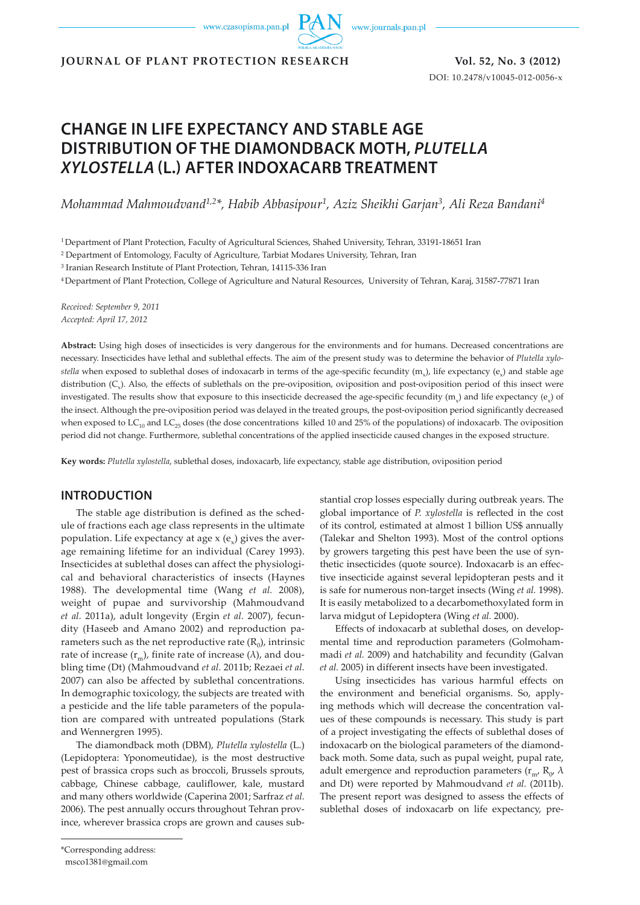www.czasopisma.pan.pl



**JOURNAL OF PLANT PROTECTION RESEARCH Vol. 52, No. 3 (2012)**

DOI: 10.2478/v10045-012-0056-x

# **CHANGE IN LIFE EXPECTANCY AND STABLE AGE DISTRIBUTION OF THE DIAMONDBACK MOTH,** *PLUTELLA XYLOSTELLA* **(L.) AFTER INDOXACARB TREATMENT**

*Mohammad Mahmoudvand1,2\*, Habib Abbasipour1, Aziz Sheikhi Garjan3, Ali Reza Bandani4*

1 Department of Plant Protection, Faculty of Agricultural Sciences, Shahed University, Tehran, 33191-18651 Iran

2 Department of Entomology, Faculty of Agriculture, Tarbiat Modares University, Tehran, Iran

3 Iranian Research Institute of Plant Protection, Tehran, 14115-336 Iran

4 Department of Plant Protection, College of Agriculture and Natural Resources, University of Tehran, Karaj, 31587-77871 Iran

*Received: September 9, 2011 Accepted: April 17, 2012*

**Abstract:** Using high doses of insecticides is very dangerous for the environments and for humans. Decreased concentrations are necessary. Insecticides have lethal and sublethal effects. The aim of the present study was to determine the behavior of *Plutella xylostella* when exposed to sublethal doses of indoxacarb in terms of the age-specific fecundity (m<sub>x</sub>), life expectancy (e<sub>x</sub>) and stable age distribution (C<sub>x</sub>). Also, the effects of sublethals on the pre-oviposition, oviposition and post-oviposition period of this insect were investigated. The results show that exposure to this insecticide decreased the age-specific fecundity  $(m<sub>v</sub>)$  and life expectancy (e<sub>x</sub>) of the insect. Although the pre-oviposition period was delayed in the treated groups, the post-oviposition period significantly decreased when exposed to  $LC_{10}$  and  $LC_{25}$  doses (the dose concentrations killed 10 and 25% of the populations) of indoxacarb. The oviposition period did not change. Furthermore, sublethal concentrations of the applied insecticide caused changes in the exposed structure.

**Key words:** *Plutella xylostella*, sublethal doses, indoxacarb, life expectancy, stable age distribution, oviposition period

# **INTRODUCTION**

The stable age distribution is defined as the schedule of fractions each age class represents in the ultimate population. Life expectancy at age  $x(e_x)$  gives the average remaining lifetime for an individual (Carey 1993). Insecticides at sublethal doses can affect the physiological and behavioral characteristics of insects (Haynes 1988). The developmental time (Wang *et al.* 2008), weight of pupae and survivorship (Mahmoudvand *et al.* 2011a), adult longevity (Ergin *et al.* 2007), fecundity (Haseeb and Amano 2002) and reproduction parameters such as the net reproductive rate  $(R_0)$ , intrinsic rate of increase  $(r_m)$ , finite rate of increase ( $\lambda$ ), and doubling time (Dt) (Mahmoudvand *et al.* 2011b; Rezaei *et al.* 2007) can also be affected by sublethal concentrations. In demographic toxicology, the subjects are treated with a pesticide and the life table parameters of the population are compared with untreated populations (Stark and Wennergren 1995).

The diamondback moth (DBM), *Plutella xylostella* (L.) (Lepidoptera: Yponomeutidae), is the most destructive pest of brassica crops such as broccoli, Brussels sprouts, cabbage, Chinese cabbage, cauliflower, kale, mustard and many others worldwide (Caperina 2001; Sarfraz *et al.* 2006). The pest annually occurs throughout Tehran province, wherever brassica crops are grown and causes sub-

stantial crop losses especially during outbreak years. The global importance of *P. xylostella* is reflected in the cost of its control, estimated at almost 1 billion US\$ annually (Talekar and Shelton 1993). Most of the control options by growers targeting this pest have been the use of synthetic insecticides (quote source). Indoxacarb is an effective insecticide against several lepidopteran pests and it is safe for numerous non-target insects (Wing *et al.* 1998). It is easily metabolized to a decarbomethoxylated form in larva midgut of Lepidoptera (Wing *et al.* 2000).

Effects of indoxacarb at sublethal doses, on developmental time and reproduction parameters (Golmohammadi *et al.* 2009) and hatchability and fecundity (Galvan *et al.* 2005) in different insects have been investigated.

Using insecticides has various harmful effects on the environment and beneficial organisms. So, applying methods which will decrease the concentration values of these compounds is necessary. This study is part of a project investigating the effects of sublethal doses of indoxacarb on the biological parameters of the diamondback moth. Some data, such as pupal weight, pupal rate, adult emergence and reproduction parameters ( $r_{m}$ ,  $R_{0}$ ,  $\lambda$ ) and Dt) were reported by Mahmoudvand *et al.* (2011b). The present report was designed to assess the effects of sublethal doses of indoxacarb on life expectancy, pre-

<sup>\*</sup>Corresponding address:

msco1381@gmail.com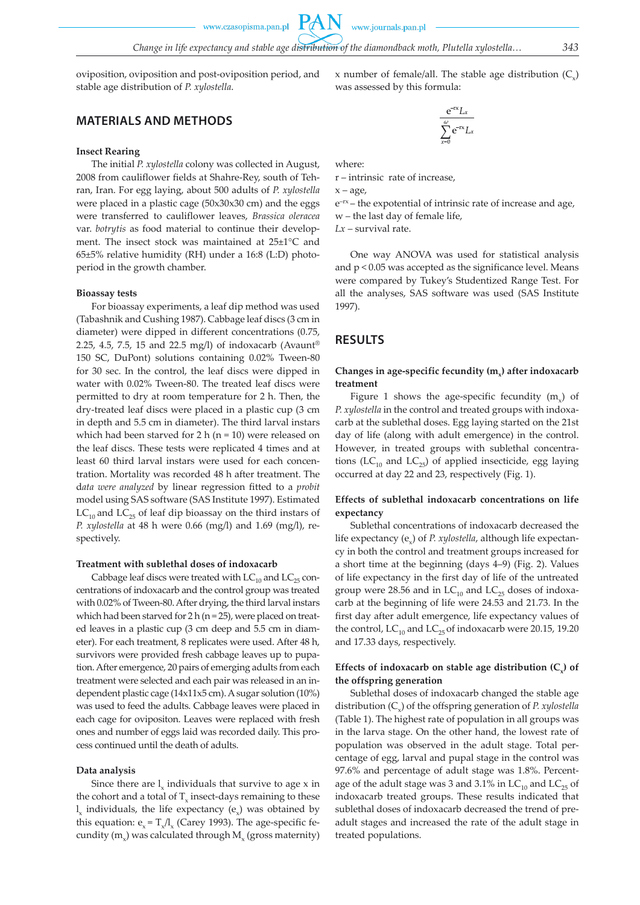www.czasopisma.pan.pl

**PAN** 

oviposition, oviposition and post-oviposition period, and stable age distribution of *P. xylostella*.

## **MATERIALS AND METHODS**

#### **Insect Rearing**

The initial *P. xylostella* colony was collected in August, 2008 from cauliflower fields at Shahre-Rey, south of Tehran, Iran. For egg laying, about 500 adults of *P. xylostella* were placed in a plastic cage (50x30x30 cm) and the eggs were transferred to cauliflower leaves, *Brassica oleracea*  var. *botrytis* as food material to continue their development. The insect stock was maintained at 25±1°C and 65±5% relative humidity (RH) under a 16:8 (L:D) photoperiod in the growth chamber.

#### **Bioassay tests**

For bioassay experiments, a leaf dip method was used (Tabashnik and Cushing 1987). Cabbage leaf discs (3 cm in diameter) were dipped in different concentrations (0.75, 2.25, 4.5, 7.5, 15 and 22.5 mg/l) of indoxacarb (Avaunt® 150 SC, DuPont) solutions containing 0.02% Tween-80 for 30 sec. In the control, the leaf discs were dipped in water with 0.02% Tween-80. The treated leaf discs were permitted to dry at room temperature for 2 h. Then, the dry-treated leaf discs were placed in a plastic cup (3 cm in depth and 5.5 cm in diameter). The third larval instars which had been starved for 2 h ( $n = 10$ ) were released on the leaf discs. These tests were replicated 4 times and at least 60 third larval instars were used for each concentration. Mortality was recorded 48 h after treatment. The d*ata were analyzed* by linear regression fitted to a *probit* model using SAS software (SAS Institute 1997). Estimated  $LC_{10}$  and  $LC_{25}$  of leaf dip bioassay on the third instars of *P. xylostella* at 48 h were 0.66 (mg/l) and 1.69 (mg/l), respectively.

#### **Treatment with sublethal doses of indoxacarb**

Cabbage leaf discs were treated with  $LC_{10}$  and  $LC_{25}$  concentrations of indoxacarb and the control group was treated with 0.02% of Tween-80. After drying, the third larval instars which had been starved for  $2 h (n = 25)$ , were placed on treated leaves in a plastic cup (3 cm deep and 5.5 cm in diameter). For each treatment, 8 replicates were used. After 48 h, survivors were provided fresh cabbage leaves up to pupation. After emergence, 20 pairs of emerging adults from each treatment were selected and each pair was released in an independent plastic cage (14x11x5 cm). A sugar solution (10%) was used to feed the adults. Cabbage leaves were placed in each cage for ovipositon. Leaves were replaced with fresh ones and number of eggs laid was recorded daily. This process continued until the death of adults.

#### **Data analysis**

Since there are  $l_{v}$  individuals that survive to age  $x$  in the cohort and a total of  $T_{\rm v}$  insect-days remaining to these  $l_x$  individuals, the life expectancy  $(e_x)$  was obtained by this equation:  $e_x = T_x/l_x$  (Carey 1993). The age-specific fecundity  $(m<sub>x</sub>)$  was calculated through M<sub>x</sub> (gross maternity)

x number of female/all. The stable age distribution  $(C_{\mathcal{V}})$ was assessed by this formula:

$$
\frac{e^{-rx}L_x}{\sum_{x=0}^{\omega}e^{-rx}L_x}
$$

where:

r – intrinsic rate of increase,

 $x - age$ 

e–rx – the expotential of intrinsic rate of increase and age, w – the last day of female life,

*Lx* – survival rate.

One way ANOVA was used for statistical analysis and p < 0.05 was accepted as the significance level. Means were compared by Tukey's Studentized Range Test. For all the analyses, SAS software was used (SAS Institute 1997).

## **RESULTS**

### Changes in age-specific fecundity (m<sub>c</sub>) after indoxacarb **treatment**

Figure 1 shows the age-specific fecundity  $(m<sub>v</sub>)$  of *P. xylostella* in the control and treated groups with indoxacarb at the sublethal doses. Egg laying started on the 21st day of life (along with adult emergence) in the control. However, in treated groups with sublethal concentrations ( $LC_{10}$  and  $LC_{25}$ ) of applied insecticide, egg laying occurred at day 22 and 23, respectively (Fig. 1).

## **Effects of sublethal indoxacarb concentrations on life expectancy**

Sublethal concentrations of indoxacarb decreased the life expectancy (e<sub>x</sub>) of *P. xylostella*, although life expectancy in both the control and treatment groups increased for a short time at the beginning (days 4–9) (Fig. 2). Values of life expectancy in the first day of life of the untreated group were 28.56 and in  $LC_{10}$  and  $LC_{25}$  doses of indoxacarb at the beginning of life were 24.53 and 21.73. In the first day after adult emergence, life expectancy values of the control, LC<sub>10</sub> and LC<sub>25</sub> of indoxacarb were 20.15, 19.20 and 17.33 days, respectively.

## Effects of indoxacarb on stable age distribution (C<sub>x</sub>) of **the offspring generation**

Sublethal doses of indoxacarb changed the stable age distribution (C<sub>x</sub>) of the offspring generation of *P. xylostella* (Table 1). The highest rate of population in all groups was in the larva stage. On the other hand, the lowest rate of population was observed in the adult stage. Total percentage of egg, larval and pupal stage in the control was 97.6% and percentage of adult stage was 1.8%. Percentage of the adult stage was 3 and 3.1% in  $LC_{10}$  and  $LC_{25}$  of indoxacarb treated groups. These results indicated that sublethal doses of indoxacarb decreased the trend of preadult stages and increased the rate of the adult stage in treated populations.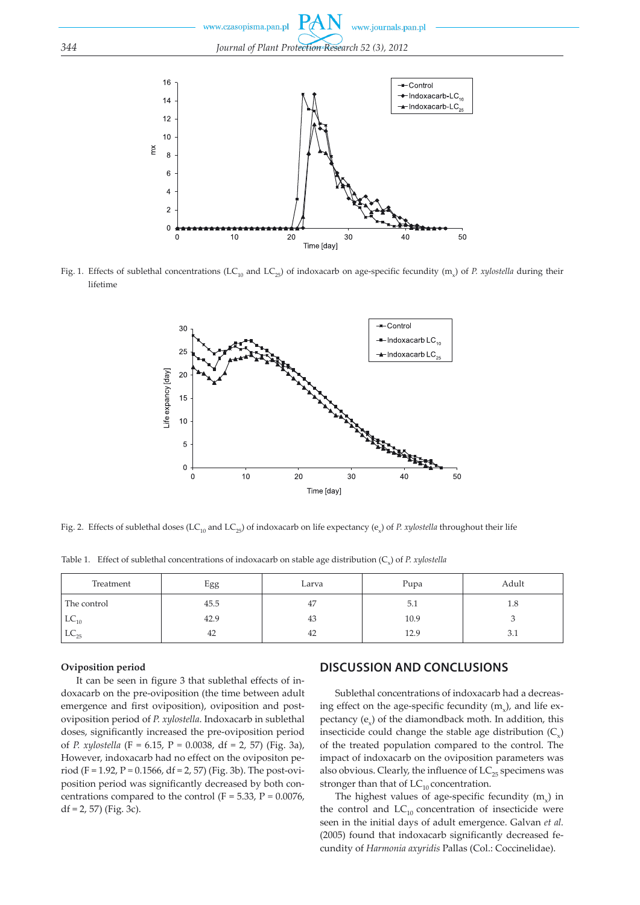Fig. 1. Effects of sublethal concentrations (LC<sub>10</sub> and LC<sub>25</sub>) of indoxacarb on age-specific fecundity (m<sub>x</sub>) of *P. xylostella* during their lifetime



Fig. 2. Effects of sublethal doses (LC<sub>10</sub> and LC<sub>25</sub>) of indoxacarb on life expectancy (e<sub>x</sub>) of *P. xylostella* throughout their life

Table 1. Effect of sublethal concentrations of indoxacarb on stable age distribution  $(C<sub>x</sub>)$  of *P. xylostella* 

| Treatment   | Egg  | Larva | Pupa | Adult |
|-------------|------|-------|------|-------|
| The control | 45.5 | 47    | 5.1  | 1.8   |
| $LC_{10}$   | 42.9 | 43    | 10.9 |       |
| $LC_{25}$   | 42   | 42    | 12.9 | 3.1   |

#### **Oviposition period**

It can be seen in figure 3 that sublethal effects of indoxacarb on the pre-oviposition (the time between adult emergence and first oviposition), oviposition and postoviposition period of *P. xylostella*. Indoxacarb in sublethal doses, significantly increased the pre-oviposition period of *P. xylostella* (F = 6.15, P *=* 0.0038, df = 2, 57) (Fig. 3a), However, indoxacarb had no effect on the ovipositon period (F = 1.92, P *=* 0.1566, df = 2, 57) (Fig. 3b). The post-oviposition period was significantly decreased by both concentrations compared to the control  $(F = 5.33, P = 0.0076, P)$  $df = 2, 57$  (Fig. 3c).

# **DISCUSSION AND CONCLUSIONS**

Sublethal concentrations of indoxacarb had a decreasing effect on the age-specific fecundity  $(m<sub>v</sub>)$ , and life expectancy  $(e_x)$  of the diamondback moth. In addition, this insecticide could change the stable age distribution  $(C<sub>x</sub>)$ of the treated population compared to the control. The impact of indoxacarb on the oviposition parameters was also obvious. Clearly, the influence of  $LC_{25}$  specimens was stronger than that of  $LC_{10}$  concentration.

The highest values of age-specific fecundity  $(m<sub>v</sub>)$  in the control and  $LC_{10}$  concentration of insecticide were seen in the initial days of adult emergence. Galvan *et al.* (2005) found that indoxacarb significantly decreased fecundity of *Harmonia axyridis* Pallas (Col.: Coccinelidae).

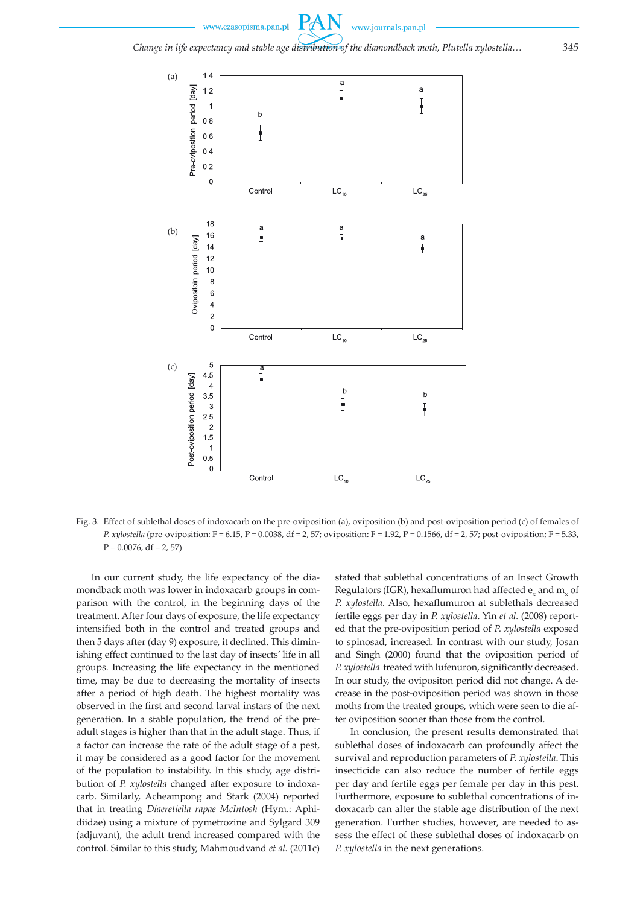

Fig. 3. Effect of sublethal doses of indoxacarb on the pre-oviposition (a), oviposition (b) and post-oviposition period (c) of females of *P. xylostella* (pre-oviposition: F = 6.15, P *=* 0.0038, df = 2, 57; oviposition: F = 1.92, P *=* 0.1566, df = 2, 57; post-oviposition; F = 5.33, P *=* 0.0076, df = 2, 57)

In our current study, the life expectancy of the diamondback moth was lower in indoxacarb groups in comparison with the control, in the beginning days of the treatment. After four days of exposure, the life expectancy intensified both in the control and treated groups and then 5 days after (day 9) exposure, it declined. This diminishing effect continued to the last day of insects' life in all groups. Increasing the life expectancy in the mentioned time, may be due to decreasing the mortality of insects after a period of high death. The highest mortality was observed in the first and second larval instars of the next generation. In a stable population, the trend of the preadult stages is higher than that in the adult stage. Thus, if a factor can increase the rate of the adult stage of a pest, it may be considered as a good factor for the movement of the population to instability. In this study, age distribution of *P. xylostella* changed after exposure to indoxacarb. Similarly, Acheampong and Stark (2004) reported that in treating *Diaeretiella rapae McIntosh* (Hym.: Aphidiidae) using a mixture of pymetrozine and Sylgard 309 (adjuvant), the adult trend increased compared with the control. Similar to this study, Mahmoudvand *et al.* (2011c) stated that sublethal concentrations of an Insect Growth Regulators (IGR), hexaflumuron had affected  $e_x$  and  $m_y$  of *P. xylostella*. Also, hexaflumuron at sublethals decreased fertile eggs per day in *P. xylostella*. Yin *et al.* (2008) reported that the pre-oviposition period of *P. xylostella* exposed to spinosad, increased. In contrast with our study, Josan and Singh (2000) found that the oviposition period of *P. xylostella* treated with lufenuron, significantly decreased. In our study, the ovipositon period did not change. A decrease in the post-oviposition period was shown in those moths from the treated groups, which were seen to die after oviposition sooner than those from the control.

In conclusion, the present results demonstrated that sublethal doses of indoxacarb can profoundly affect the survival and reproduction parameters of *P. xylostella*. This insecticide can also reduce the number of fertile eggs per day and fertile eggs per female per day in this pest. Furthermore, exposure to sublethal concentrations of indoxacarb can alter the stable age distribution of the next generation. Further studies, however, are needed to assess the effect of these sublethal doses of indoxacarb on *P. xylostella* in the next generations.